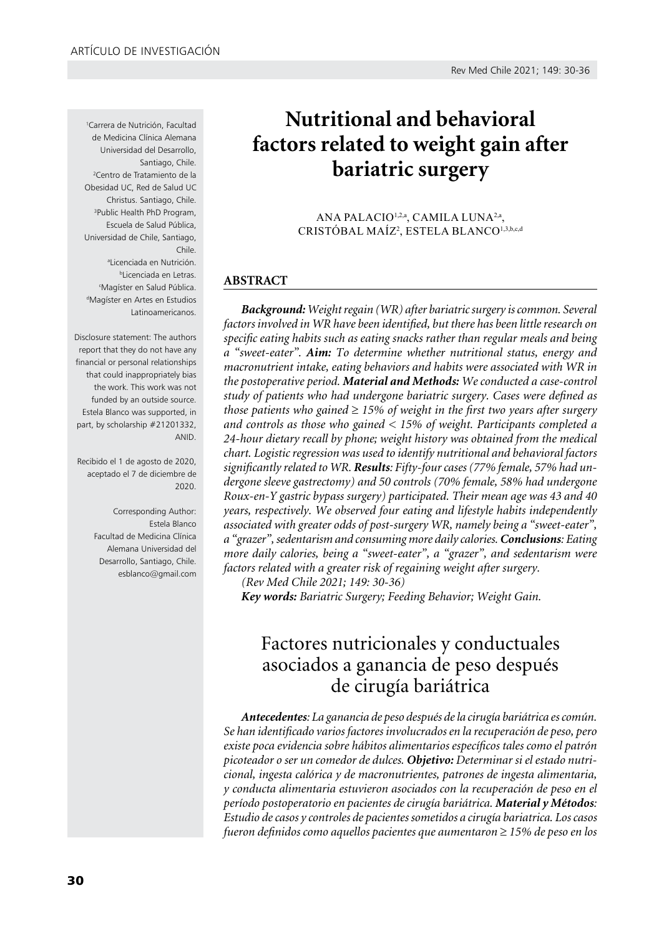1 Carrera de Nutrición, Facultad de Medicina Clínica Alemana Universidad del Desarrollo, Santiago, Chile. 2 Centro de Tratamiento de la Obesidad UC, Red de Salud UC Christus. Santiago, Chile. 3 Public Health PhD Program, Escuela de Salud Pública, Universidad de Chile, Santiago, Chile. a Licenciada en Nutrición. b Licenciada en Letras. c Magíster en Salud Pública. d Magíster en Artes en Estudios Latinoamericanos.

Disclosure statement: The authors report that they do not have any financial or personal relationships that could inappropriately bias the work. This work was not funded by an outside source. Estela Blanco was supported, in part, by scholarship #21201332, ANID.

Recibido el 1 de agosto de 2020, aceptado el 7 de diciembre de 2020.

> Corresponding Author: Estela Blanco Facultad de Medicina Clínica Alemana Universidad del Desarrollo, Santiago, Chile. esblanco@gmail.com

# **Nutritional and behavioral factors related to weight gain after bariatric surgery**

ANA PALACIO<sup>1,2,a</sup>, CAMILA LUNA<sup>2,a</sup>, CRISTÓBAL MAÍZ<sup>2</sup>, ESTELA BLANCO<sup>1,3,b,c,d</sup>

# **ABSTRACT**

*Background: Weight regain (WR) after bariatric surgery is common. Several factors involved in WR have been identified, but there has been little research on specific eating habits such as eating snacks rather than regular meals and being a "sweet-eater". Aim: To determine whether nutritional status, energy and macronutrient intake, eating behaviors and habits were associated with WR in the postoperative period. Material and Methods: We conducted a case-control study of patients who had undergone bariatric surgery. Cases were defined as those patients who gained* ≥ *15% of weight in the first two years after surgery and controls as those who gained < 15% of weight. Participants completed a 24-hour dietary recall by phone; weight history was obtained from the medical chart. Logistic regression was used to identify nutritional and behavioral factors significantly related to WR. Results: Fifty-four cases (77% female, 57% had undergone sleeve gastrectomy) and 50 controls (70% female, 58% had undergone Roux-en-Y gastric bypass surgery) participated. Their mean age was 43 and 40 years, respectively. We observed four eating and lifestyle habits independently associated with greater odds of post-surgery WR, namely being a "sweet-eater", a "grazer", sedentarism and consuming more daily calories. Conclusions: Eating more daily calories, being a "sweet-eater", a "grazer", and sedentarism were factors related with a greater risk of regaining weight after surgery.* 

*(Rev Med Chile 2021; 149: 30-36)*

*Key words: Bariatric Surgery; Feeding Behavior; Weight Gain.* 

# Factores nutricionales y conductuales asociados a ganancia de peso después de cirugía bariátrica

*Antecedentes: La ganancia de peso después de la cirugía bariátrica es común. Se han identificado varios factores involucrados en la recuperación de peso, pero existe poca evidencia sobre hábitos alimentarios específicos tales como el patrón picoteador o ser un comedor de dulces. Objetivo: Determinar si el estado nutricional, ingesta calórica y de macronutrientes, patrones de ingesta alimentaria, y conducta alimentaria estuvieron asociados con la recuperación de peso en el período postoperatorio en pacientes de cirugía bariátrica. Material y Métodos: Estudio de casos y controles de pacientes sometidos a cirugía bariatrica. Los casos fueron definidos como aquellos pacientes que aumentaron* ≥ *15% de peso en los*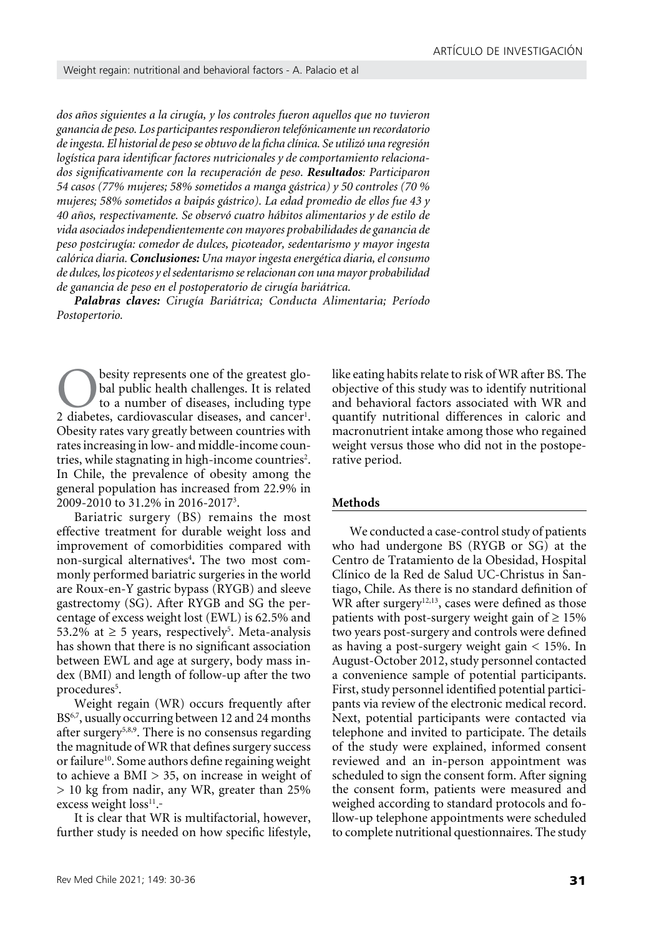*dos años siguientes a la cirugía, y los controles fueron aquellos que no tuvieron ganancia de peso. Los participantes respondieron telefónicamente un recordatorio de ingesta. El historial de peso se obtuvo de la ficha clínica. Se utilizó una regresión logística para identificar factores nutricionales y de comportamiento relacionados significativamente con la recuperación de peso. Resultados: Participaron 54 casos (77% mujeres; 58% sometidos a manga gástrica) y 50 controles (70 % mujeres; 58% sometidos a baipás gástrico). La edad promedio de ellos fue 43 y 40 años, respectivamente. Se observó cuatro hábitos alimentarios y de estilo de vida asociados independientemente con mayores probabilidades de ganancia de peso postcirugía: comedor de dulces, picoteador, sedentarismo y mayor ingesta calórica diaria. Conclusiones: Una mayor ingesta energética diaria, el consumo de dulces, los picoteos y el sedentarismo se relacionan con una mayor probabilidad de ganancia de peso en el postoperatorio de cirugía bariátrica.*

*Palabras claves: Cirugía Bariátrica; Conducta Alimentaria; Período Postopertorio.*

**Obesity represents one of the greatest glo-**<br>bal public health challenges. It is related<br>to a number of diseases, including type<br>2 diabetes. cardiovascular diseases. and cancer<sup>1</sup>. bal public health challenges. It is related to a number of diseases, including type 2 diabetes, cardiovascular diseases, and cancer<sup>1</sup>. Obesity rates vary greatly between countries with rates increasing in low- and middle-income countries, while stagnating in high-income countries<sup>2</sup>. In Chile, the prevalence of obesity among the general population has increased from 22.9% in 2009-2010 to 31.2% in 2016-20173 .

Bariatric surgery (BS) remains the most effective treatment for durable weight loss and improvement of comorbidities compared with non-surgical alternatives<sup>4</sup>. The two most commonly performed bariatric surgeries in the world are Roux-en-Y gastric bypass (RYGB) and sleeve gastrectomy (SG). After RYGB and SG the percentage of excess weight lost (EWL) is 62.5% and 53.2% at  $\geq$  5 years, respectively<sup>5</sup>. Meta-analysis has shown that there is no significant association between EWL and age at surgery, body mass index (BMI) and length of follow-up after the two procedures<sup>5</sup>.

Weight regain (WR) occurs frequently after BS<sup>6,7</sup>, usually occurring between 12 and 24 months after surgery<sup>5,8,9</sup>. There is no consensus regarding the magnitude of WR that defines surgery success or failure<sup>10</sup>. Some authors define regaining weight to achieve a  $BMI > 35$ , on increase in weight of > 10 kg from nadir, any WR, greater than 25% excess weight loss<sup>11</sup>.

It is clear that WR is multifactorial, however, further study is needed on how specific lifestyle, like eating habits relate to risk of WR after BS. The objective of this study was to identify nutritional and behavioral factors associated with WR and quantify nutritional differences in caloric and macronutrient intake among those who regained weight versus those who did not in the postoperative period.

#### **Methods**

We conducted a case-control study of patients who had undergone BS (RYGB or SG) at the Centro de Tratamiento de la Obesidad, Hospital Clínico de la Red de Salud UC-Christus in Santiago, Chile. As there is no standard definition of WR after surgery<sup>12,13</sup>, cases were defined as those patients with post-surgery weight gain of  $\geq 15\%$ two years post-surgery and controls were defined as having a post-surgery weight gain < 15%. In August-October 2012, study personnel contacted a convenience sample of potential participants. First, study personnel identified potential participants via review of the electronic medical record. Next, potential participants were contacted via telephone and invited to participate. The details of the study were explained, informed consent reviewed and an in-person appointment was scheduled to sign the consent form. After signing the consent form, patients were measured and weighed according to standard protocols and follow-up telephone appointments were scheduled to complete nutritional questionnaires. The study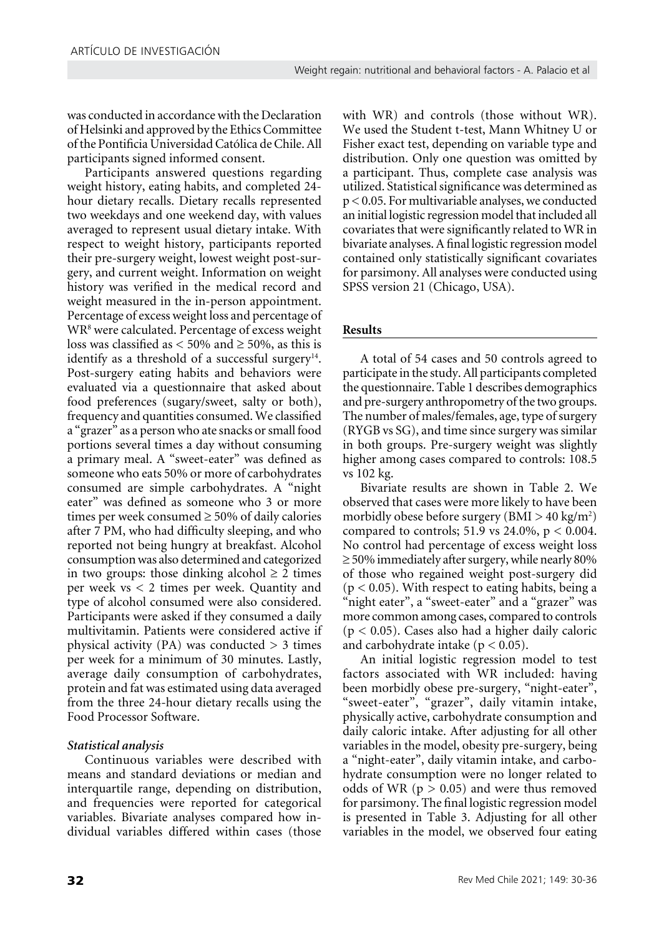was conducted in accordance with the Declaration of Helsinki and approved by the Ethics Committee of the Pontificia Universidad Católica de Chile. All participants signed informed consent.

Participants answered questions regarding weight history, eating habits, and completed 24 hour dietary recalls. Dietary recalls represented two weekdays and one weekend day, with values averaged to represent usual dietary intake. With respect to weight history, participants reported their pre-surgery weight, lowest weight post-surgery, and current weight. Information on weight history was verified in the medical record and weight measured in the in-person appointment. Percentage of excess weight loss and percentage of WR8 were calculated. Percentage of excess weight loss was classified as  $\lt$  50% and  $\ge$  50%, as this is identify as a threshold of a successful surgery $14$ . Post-surgery eating habits and behaviors were evaluated via a questionnaire that asked about food preferences (sugary/sweet, salty or both), frequency and quantities consumed. We classified a "grazer" as a person who ate snacks or small food portions several times a day without consuming a primary meal. A "sweet-eater" was defined as someone who eats 50% or more of carbohydrates consumed are simple carbohydrates. A "night eater" was defined as someone who 3 or more times per week consumed  $\geq 50\%$  of daily calories after 7 PM, who had difficulty sleeping, and who reported not being hungry at breakfast. Alcohol consumption was also determined and categorized in two groups: those dinking alcohol  $\geq 2$  times per week vs < 2 times per week. Quantity and type of alcohol consumed were also considered. Participants were asked if they consumed a daily multivitamin. Patients were considered active if physical activity  $(PA)$  was conducted  $> 3$  times per week for a minimum of 30 minutes. Lastly, average daily consumption of carbohydrates, protein and fat was estimated using data averaged from the three 24-hour dietary recalls using the Food Processor Software.

# *Statistical analysis*

Continuous variables were described with means and standard deviations or median and interquartile range, depending on distribution, and frequencies were reported for categorical variables. Bivariate analyses compared how individual variables differed within cases (those

with WR) and controls (those without WR). We used the Student t-test, Mann Whitney U or Fisher exact test, depending on variable type and distribution. Only one question was omitted by a participant. Thus, complete case analysis was utilized. Statistical significance was determined as p < 0.05. For multivariable analyses, we conducted an initial logistic regression model that included all covariates that were significantly related to WR in bivariate analyses. A final logistic regression model contained only statistically significant covariates for parsimony. All analyses were conducted using SPSS version 21 (Chicago, USA).

# **Results**

A total of 54 cases and 50 controls agreed to participate in the study. All participants completed the questionnaire. Table 1 describes demographics and pre-surgery anthropometry of the two groups. The number of males/females, age, type of surgery (RYGB vs SG), and time since surgery was similar in both groups. Pre-surgery weight was slightly higher among cases compared to controls: 108.5 vs 102 kg.

Bivariate results are shown in Table 2. We observed that cases were more likely to have been morbidly obese before surgery ( $BMI > 40 \text{ kg/m}^2$ ) compared to controls; 51.9 vs 24.0%,  $p < 0.004$ . No control had percentage of excess weight loss ≥ 50% immediately after surgery, while nearly 80% of those who regained weight post-surgery did  $(p < 0.05)$ . With respect to eating habits, being a "night eater", a "sweet-eater" and a "grazer" was more common among cases, compared to controls  $(p < 0.05)$ . Cases also had a higher daily caloric and carbohydrate intake ( $p < 0.05$ ).

An initial logistic regression model to test factors associated with WR included: having been morbidly obese pre-surgery, "night-eater", "sweet-eater", "grazer", daily vitamin intake, physically active, carbohydrate consumption and daily caloric intake. After adjusting for all other variables in the model, obesity pre-surgery, being a "night-eater", daily vitamin intake, and carbohydrate consumption were no longer related to odds of WR ( $p > 0.05$ ) and were thus removed for parsimony. The final logistic regression model is presented in Table 3. Adjusting for all other variables in the model, we observed four eating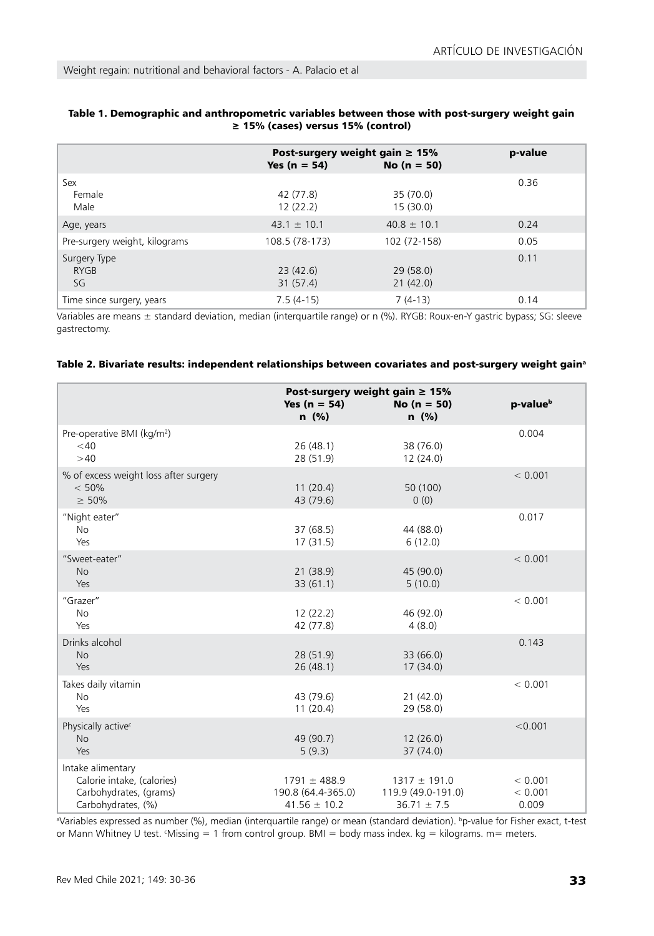|                                   | Post-surgery weight gain $\geq 15\%$<br>Yes ( $n = 54$ ) | $No (n = 50)$         | p-value |
|-----------------------------------|----------------------------------------------------------|-----------------------|---------|
| Sex<br>Female<br>Male             | 42 (77.8)<br>12(22.2)                                    | 35 (70.0)<br>15(30.0) | 0.36    |
| Age, years                        | $43.1 \pm 10.1$                                          | $40.8 \pm 10.1$       | 0.24    |
| Pre-surgery weight, kilograms     | 108.5 (78-173)                                           | 102 (72-158)          | 0.05    |
| Surgery Type<br><b>RYGB</b><br>SG | 23(42.6)<br>31(57.4)                                     | 29(58.0)<br>21(42.0)  | 0.11    |
| Time since surgery, years         | $7.5(4-15)$                                              | $7(4-13)$             | 0.14    |

## Table 1. Demographic and anthropometric variables between those with post-surgery weight gain ≥ 15% (cases) versus 15% (control)

Variables are means ± standard deviation, median (interquartile range) or n (%). RYGB: Roux-en-Y gastric bypass; SG: sleeve gastrectomy.

|  | "Table 2. Bivariate results: independent relationships between covariates and post-surgery weight gain |
|--|--------------------------------------------------------------------------------------------------------|
|--|--------------------------------------------------------------------------------------------------------|

|                                                                                                 | Yes ( $n = 54$ )<br>$n \ (\%)$                             | Post-surgery weight gain $\geq 15\%$<br>$No (n = 50)$<br>$n$ (%) | p-value <sup>b</sup>        |
|-------------------------------------------------------------------------------------------------|------------------------------------------------------------|------------------------------------------------------------------|-----------------------------|
| Pre-operative BMI (kg/m <sup>2</sup> )<br>$<$ 40<br>>40                                         | 26(48.1)<br>28 (51.9)                                      | 38 (76.0)<br>12(24.0)                                            | 0.004                       |
| % of excess weight loss after surgery<br>< 50%<br>$\geq 50\%$                                   | 11(20.4)<br>43 (79.6)                                      | 50 (100)<br>0(0)                                                 | < 0.001                     |
| "Night eater"<br>No<br>Yes                                                                      | 37 (68.5)<br>17(31.5)                                      | 44 (88.0)<br>6(12.0)                                             | 0.017                       |
| "Sweet-eater"<br><b>No</b><br>Yes                                                               | 21(38.9)<br>33(61.1)                                       | 45 (90.0)<br>5(10.0)                                             | < 0.001                     |
| "Grazer"<br><b>No</b><br>Yes                                                                    | 12(22.2)<br>42 (77.8)                                      | 46 (92.0)<br>4(8.0)                                              | < 0.001                     |
| Drinks alcohol<br><b>No</b><br>Yes                                                              | 28(51.9)<br>26(48.1)                                       | 33 (66.0)<br>17(34.0)                                            | 0.143                       |
| Takes daily vitamin<br><b>No</b><br>Yes                                                         | 43 (79.6)<br>11(20.4)                                      | 21(42.0)<br>29 (58.0)                                            | < 0.001                     |
| Physically active <sup>c</sup><br><b>No</b><br>Yes                                              | 49 (90.7)<br>5(9.3)                                        | 12(26.0)<br>37 (74.0)                                            | < 0.001                     |
| Intake alimentary<br>Calorie intake, (calories)<br>Carbohydrates, (grams)<br>Carbohydrates, (%) | $1791 \pm 488.9$<br>190.8 (64.4-365.0)<br>$41.56 \pm 10.2$ | $1317 \pm 191.0$<br>119.9 (49.0-191.0)<br>$36.71 \pm 7.5$        | < 0.001<br>< 0.001<br>0.009 |

ªVariables expressed as number (%), median (interquartile range) or mean (standard deviation). <sup>b</sup>p-value for Fisher exact, t-test or Mann Whitney U test. Missing = 1 from control group. BMI = body mass index. kg = kilograms. m= meters.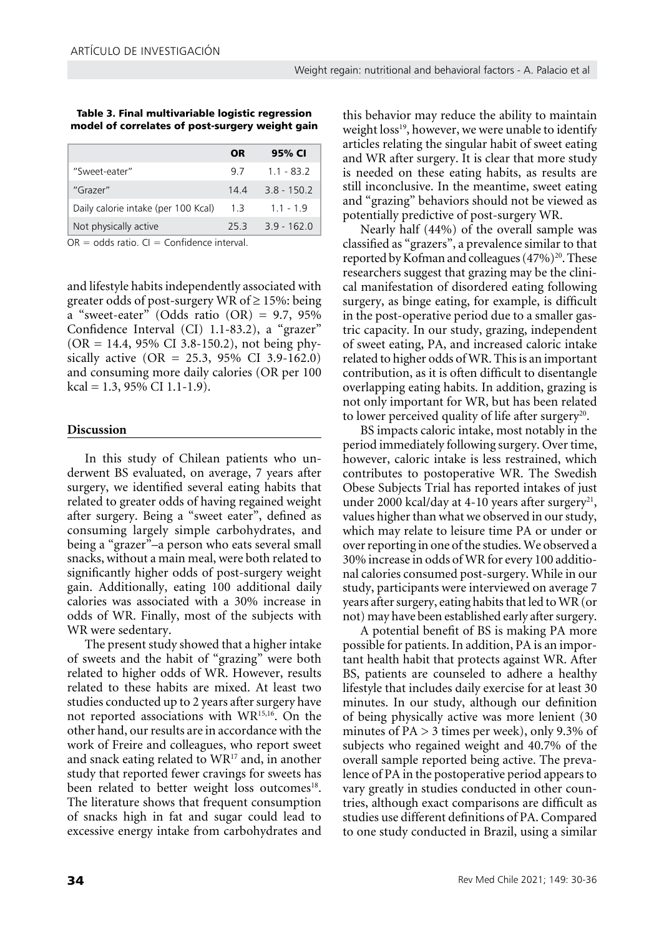Table 3. Final multivariable logistic regression model of correlates of post-surgery weight gain

|                                     | OR  | 95% CI      |
|-------------------------------------|-----|-------------|
| "Sweet-eater"                       | 97  | $11 - 832$  |
| "Grazer"                            | 144 | $38 - 1502$ |
| Daily calorie intake (per 100 Kcal) | 1.3 | $11 - 19$   |
| Not physically active               | 253 | $39 - 1620$ |

 $OR = odds$  ratio.  $CI = Confidence$  interval.

and lifestyle habits independently associated with greater odds of post-surgery WR of  $\geq$  15%: being a "sweet-eater" (Odds ratio  $(OR) = 9.7, 95\%$ Confidence Interval (CI) 1.1-83.2), a "grazer"  $(OR = 14.4, 95\% \text{ CI } 3.8-150.2), \text{ not being phy-}$ sically active  $(OR = 25.3, 95\% \text{ CI } 3.9{\text -}162.0)$ and consuming more daily calories (OR per 100 kcal = 1.3, 95% CI 1.1-1.9).

#### **Discussion**

In this study of Chilean patients who underwent BS evaluated, on average, 7 years after surgery, we identified several eating habits that related to greater odds of having regained weight after surgery. Being a "sweet eater", defined as consuming largely simple carbohydrates, and being a "grazer"–a person who eats several small snacks, without a main meal, were both related to significantly higher odds of post-surgery weight gain. Additionally, eating 100 additional daily calories was associated with a 30% increase in odds of WR. Finally, most of the subjects with WR were sedentary.

The present study showed that a higher intake of sweets and the habit of "grazing" were both related to higher odds of WR. However, results related to these habits are mixed. At least two studies conducted up to 2 years after surgery have not reported associations with WR15,16. On the other hand, our results are in accordance with the work of Freire and colleagues, who report sweet and snack eating related to WR<sup>17</sup> and, in another study that reported fewer cravings for sweets has been related to better weight loss outcomes<sup>18</sup>. The literature shows that frequent consumption of snacks high in fat and sugar could lead to excessive energy intake from carbohydrates and

this behavior may reduce the ability to maintain weight loss<sup>19</sup>, however, we were unable to identify articles relating the singular habit of sweet eating and WR after surgery. It is clear that more study is needed on these eating habits, as results are still inconclusive. In the meantime, sweet eating and "grazing" behaviors should not be viewed as potentially predictive of post-surgery WR.

Nearly half (44%) of the overall sample was classified as "grazers", a prevalence similar to that reported by Kofman and colleagues  $(47\%)^{20}$ . These researchers suggest that grazing may be the clinical manifestation of disordered eating following surgery, as binge eating, for example, is difficult in the post-operative period due to a smaller gastric capacity. In our study, grazing, independent of sweet eating, PA, and increased caloric intake related to higher odds of WR. This is an important contribution, as it is often difficult to disentangle overlapping eating habits. In addition, grazing is not only important for WR, but has been related to lower perceived quality of life after surgery<sup>20</sup>.

BS impacts caloric intake, most notably in the period immediately following surgery. Over time, however, caloric intake is less restrained, which contributes to postoperative WR. The Swedish Obese Subjects Trial has reported intakes of just under 2000 kcal/day at 4-10 years after surgery<sup>21</sup>, values higher than what we observed in our study, which may relate to leisure time PA or under or over reporting in one of the studies. We observed a 30% increase in odds of WR for every 100 additional calories consumed post-surgery. While in our study, participants were interviewed on average 7 years after surgery, eating habits that led to WR (or not) may have been established early after surgery.

A potential benefit of BS is making PA more possible for patients. In addition, PA is an important health habit that protects against WR. After BS, patients are counseled to adhere a healthy lifestyle that includes daily exercise for at least 30 minutes. In our study, although our definition of being physically active was more lenient (30 minutes of  $PA > 3$  times per week), only 9.3% of subjects who regained weight and 40.7% of the overall sample reported being active. The prevalence of PA in the postoperative period appears to vary greatly in studies conducted in other countries, although exact comparisons are difficult as studies use different definitions of PA. Compared to one study conducted in Brazil, using a similar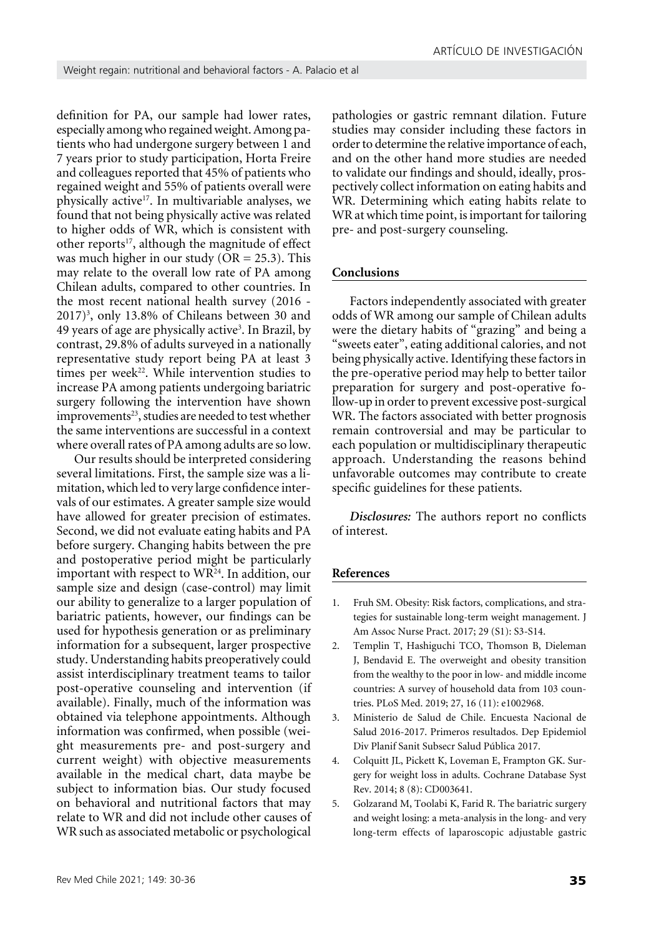definition for PA, our sample had lower rates, especially among who regained weight. Among patients who had undergone surgery between 1 and 7 years prior to study participation, Horta Freire and colleagues reported that 45% of patients who regained weight and 55% of patients overall were physically active17. In multivariable analyses, we found that not being physically active was related to higher odds of WR, which is consistent with other reports<sup>17</sup>, although the magnitude of effect was much higher in our study ( $OR = 25.3$ ). This may relate to the overall low rate of PA among Chilean adults, compared to other countries. In the most recent national health survey (2016 -  $2017$ <sup>3</sup>, only 13.8% of Chileans between 30 and 49 years of age are physically active<sup>3</sup>. In Brazil, by contrast, 29.8% of adults surveyed in a nationally representative study report being PA at least 3 times per week<sup>22</sup>. While intervention studies to increase PA among patients undergoing bariatric surgery following the intervention have shown  $improvements<sup>23</sup>$ , studies are needed to test whether the same interventions are successful in a context where overall rates of PA among adults are so low.

Our results should be interpreted considering several limitations. First, the sample size was a limitation, which led to very large confidence intervals of our estimates. A greater sample size would have allowed for greater precision of estimates. Second, we did not evaluate eating habits and PA before surgery. Changing habits between the pre and postoperative period might be particularly important with respect to WR24. In addition, our sample size and design (case-control) may limit our ability to generalize to a larger population of bariatric patients, however, our findings can be used for hypothesis generation or as preliminary information for a subsequent, larger prospective study. Understanding habits preoperatively could assist interdisciplinary treatment teams to tailor post-operative counseling and intervention (if available). Finally, much of the information was obtained via telephone appointments. Although information was confirmed, when possible (weight measurements pre- and post-surgery and current weight) with objective measurements available in the medical chart, data maybe be subject to information bias. Our study focused on behavioral and nutritional factors that may relate to WR and did not include other causes of WR such as associated metabolic or psychological

pathologies or gastric remnant dilation. Future studies may consider including these factors in order to determine the relative importance of each, and on the other hand more studies are needed to validate our findings and should, ideally, prospectively collect information on eating habits and WR. Determining which eating habits relate to WR at which time point, is important for tailoring pre- and post-surgery counseling.

## **Conclusions**

Factors independently associated with greater odds of WR among our sample of Chilean adults were the dietary habits of "grazing" and being a "sweets eater", eating additional calories, and not being physically active. Identifying these factors in the pre-operative period may help to better tailor preparation for surgery and post-operative follow-up in order to prevent excessive post-surgical WR. The factors associated with better prognosis remain controversial and may be particular to each population or multidisciplinary therapeutic approach. Understanding the reasons behind unfavorable outcomes may contribute to create specific guidelines for these patients.

*Disclosures:* The authors report no conflicts of interest.

#### **References**

- 1. Fruh SM. Obesity: Risk factors, complications, and strategies for sustainable long-term weight management. J Am Assoc Nurse Pract. 2017; 29 (S1): S3-S14.
- 2. Templin T, Hashiguchi TCO, Thomson B, Dieleman J, Bendavid E. The overweight and obesity transition from the wealthy to the poor in low- and middle income countries: A survey of household data from 103 countries. PLoS Med. 2019; 27, 16 (11): e1002968.
- 3. Ministerio de Salud de Chile. Encuesta Nacional de Salud 2016-2017. Primeros resultados. Dep Epidemiol Div Planif Sanit Subsecr Salud Pública 2017.
- 4. Colquitt JL, Pickett K, Loveman E, Frampton GK. Surgery for weight loss in adults. Cochrane Database Syst Rev. 2014; 8 (8): CD003641.
- 5. Golzarand M, Toolabi K, Farid R. The bariatric surgery and weight losing: a meta-analysis in the long- and very long-term effects of laparoscopic adjustable gastric